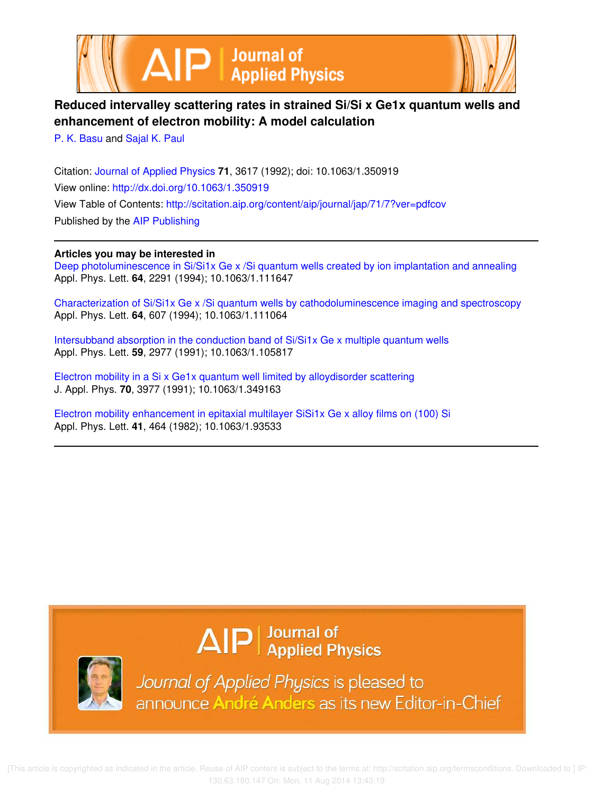



## **Reduced intervalley scattering rates in strained Si/Si x Ge1x quantum wells and enhancement of electron mobility: A model calculation**

P. K. Basu and Sajal K. Paul

Citation: Journal of Applied Physics **71**, 3617 (1992); doi: 10.1063/1.350919 View online: http://dx.doi.org/10.1063/1.350919 View Table of Contents: http://scitation.aip.org/content/aip/journal/jap/71/7?ver=pdfcov Published by the AIP Publishing

## **Articles you may be interested in**

Deep photoluminescence in Si/Si1x Ge x /Si quantum wells created by ion implantation and annealing Appl. Phys. Lett. **64**, 2291 (1994); 10.1063/1.111647

Characterization of Si/Si1x Ge x /Si quantum wells by cathodoluminescence imaging and spectroscopy Appl. Phys. Lett. **64**, 607 (1994); 10.1063/1.111064

Intersubband absorption in the conduction band of Si/Si1x Ge x multiple quantum wells Appl. Phys. Lett. **59**, 2977 (1991); 10.1063/1.105817

Electron mobility in a Si x Ge1x quantum well limited by alloydisorder scattering J. Appl. Phys. **70**, 3977 (1991); 10.1063/1.349163

Electron mobility enhancement in epitaxial multilayer SiSi1x Ge x alloy films on (100) Si Appl. Phys. Lett. **41**, 464 (1982); 10.1063/1.93533



 $\Delta$   $\vert P \vert$  Journal of Applied Physics

Journal of Applied Physics is pleased to announce André Anders as its new Editor-in-Chief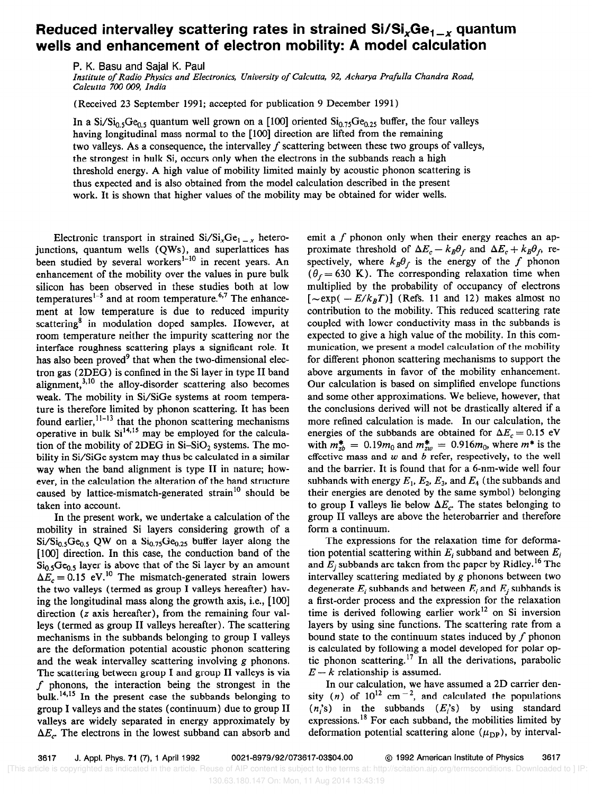## Reduced intervalley scattering rates in strained  $Si/Si_xGe_{1-x}$  quantum wells and enhancement of electron mobility: A model calculation

P. K. Basu and Sajal K. Paul

Institute of Radio Physics and Electronics, University of Calcutta, 92, Acharya Prafulla Chandra Road, Calcutta 700 009, India

(Received 23 September 1991; accepted for publication 9 December 1991)

In a  $Si/Si<sub>0.5</sub>Ge<sub>0.5</sub>$  quantum well grown on a [100] oriented  $Si<sub>0.75</sub>Ge<sub>0.25</sub>$  buffer, the four valleys having longitudinal mass normal to the [lOO] direction are lifted from the remaining two valleys. As a consequence, the intervalley  $f$  scattering between these two groups of valleys, the strongest in bulk Si, occurs only when the electrons in the subbands reach a high threshold energy. A high value of mobility limited mainly by acoustic phonon scattering is thus expected and is also obtained from the model calculation described in the present work. It is shown that higher values of the mobility may be obtained for wider wells.

Electronic transport in strained  $Si/Si_xGe_{1-x}$  heterojunctions, quantum wells (QWs), and superlattices has been studied by several workers'-" in recent years. An enhancement of the mobility over the values in pure bulk silicon has been observed in these studies both at low temperatures<sup>1-5</sup> and at room temperature.<sup>6,7</sup> The enhancement at low temperature is due to reduced impurity scattering<sup>8</sup> in modulation doped samples. However, at room temperature neither the impurity scattering nor the interface roughness scattering plays a significant role. It has also been proved<sup>9</sup> that when the two-dimensional electron gas (2DEG) is confined in the Si layer in type II band alignment, $3,10$  the alloy-disorder scattering also becomes weak. The mobility in Si/SiGe systems at room temperature is therefore limited by phonon scattering. It has been found earlier,  $^{11-13}$  that the phonon scattering mechanisms operative in bulk  $Si^{14,15}$  may be employed for the calculation of the mobility of 2DEG in  $Si-SiO<sub>2</sub>$  systems. The mobility in Si/SiGe system may thus be calculated in a similar way when the band alignment is type II in nature; however, in the calculation the alteration of the band structure caused by lattice-mismatch-generated strain<sup>10</sup> should be taken into account.

In the present work, we undertake a calculation of the mobility in strained Si layers considering growth of a  $Si/Si<sub>0.5</sub>Ge<sub>0.5</sub>$  QW on a  $Si<sub>0.75</sub>Ge<sub>0.25</sub>$  buffer layer along the [100] direction. In this case, the conduction band of the  $Si<sub>0.5</sub>Ge<sub>0.5</sub>$  layer is above that of the Si layer by an amount  $\Delta E_c = 0.15$  eV.<sup>10</sup> The mismatch-generated strain lowers the two valleys (termed as group I valleys hereafter) having the longitudinal mass along the growth axis, i.e., [lOO] direction (z axis hereafter), from the remaining four valleys (termed as group II valleys hereafter). The scattering mechanisms in the subbands belonging to group I valleys are the deformation potential acoustic phonon scattering and the weak intervalley scattering involving g phonons. The scattering between group I and group II valleys is via  $f$  phonons, the interaction being the strongest in the bulk.<sup>14,15</sup> In the present case the subbands belonging to group I valleys and the states (continuum) due to group II valleys are widely separated in energy approximately by  $\Delta E_c$ . The electrons in the lowest subband can absorb and emit a  $f$  phonon only when their energy reaches an approximate threshold of  $\Delta E_c - k_B \theta_f$  and  $\Delta E_c + k_B \theta_f$ , respectively, where  $k_B\theta_f$  is the energy of the f phonon  $(\theta_f = 630 \text{ K})$ . The corresponding relaxation time when multiplied by the probability of occupancy of electrons  $[\sim \exp(-E/k_BT)]$  (Refs. 11 and 12) makes almost no contribution to the mobility. This reduced scattering rate coupled with lower conductivity mass in the subbands is expected to give a high value of the mobility. In this communication, we present a model calculation of the mobility for different phonon scattering mechanisms to support the above arguments in favor of the mobility enhancement. Our calculation is based on simplified envelope functions and some other approximations. We believe, however, that the conclusions derived will not be drastically altered if a more refined calculation is made. In our calculation, the energies of the subbands are obtained for  $\Delta E_c = 0.15$  eV with  $m_{zb}^{*} = 0.19m_0$  and  $m_{zw}^{*} = 0.916m_0$ , where  $m^{*}$  is the effective mass and  $w$  and  $b$  refer, respectively, to the well and the barrier. It is found that for a 6-nm-wide well four subbands with energy  $E_1, E_2, E_3$ , and  $E_4$  (the subbands and their energies are denoted by the same symbol) belonging to group I valleys lie below  $\Delta E_c$ . The states belonging to group II valleys are above the heterobarrier and therefore form a continuum.

The expressions for the relaxation time for deformation potential scattering within  $E_i$  subband and between  $E_i$ and  $E_i$  subbands are taken from the paper by Ridley.<sup>16</sup> The intervalley scattering mediated by g phonons between two degenerate  $E_i$  subbands and between  $E_i$  and  $E_j$  subbands is a first-order process and the expression for the relaxation time is derived following earlier work<sup>12</sup> on Si inversion layers by using sine functions. The scattering rate from a bound state to the continuum states induced by  $f$  phonon is calculated by following a model developed for polar optic phonon scattering.<sup>17</sup> In all the derivations, parabolic  $E - k$  relationship is assumed.

In our calculation, we have assumed a 2D carrier density (n) of  $10^{12}$  cm<sup>-2</sup>, and calculated the populations  $(n, s)$  in the subbands  $(E, s)$  by using standard expressions.18 For each subband, the mobilities limited by deformation potential scattering alone  $(\mu_{\text{DP}})$ , by interval-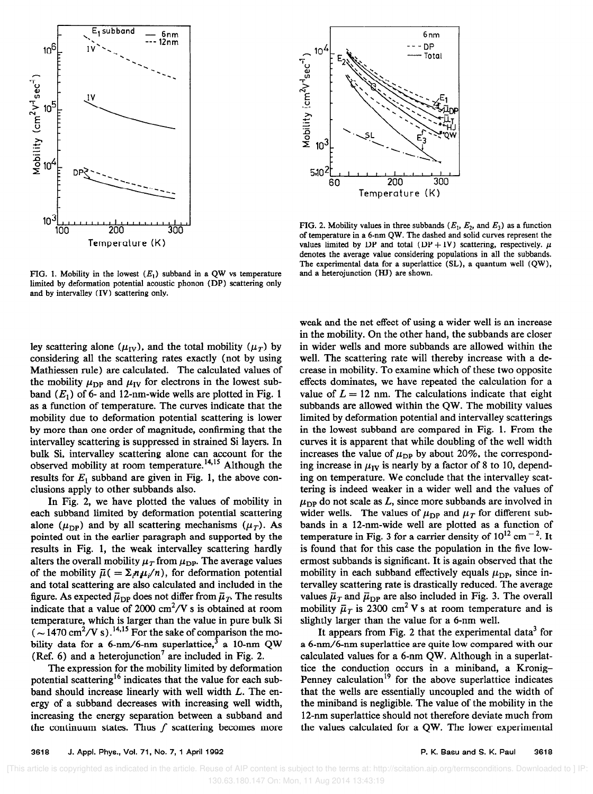

FIG. 1. Mobility in the lowest  $(E_1)$  subband in a QW vs temperature limited by deformation potential acoustic phonon (DP) scattering only and by intervalley (IV) scattering only.

ley scattering alone ( $\mu_{IV}$ ), and the total mobility ( $\mu_{T}$ ) by considering all the scattering rates exactly (not by using Mathiessen rule) are calculated. The calculated values of the mobility  $\mu_{\text{DP}}$  and  $\mu_{\text{IV}}$  for electrons in the lowest subband  $(E_1)$  of 6- and 12-nm-wide wells are plotted in Fig. 1 as a function of temperature. The curves indicate that the mobility due to deformation potential scattering is lower by more than one order of magnitude, confirming that the intervalley scattering is suppressed in strained Si layers. In bulk Si, intervalley scattering alone can account for the observed mobility at room temperature.<sup>14,15</sup> Although the results for  $E_1$  subband are given in Fig. 1, the above conclusions apply to other subbands also.

In Fig. 2, we have plotted the values of mobility in each subband limited by deformation potential scattering alone ( $\mu_{\text{DP}}$ ) and by all scattering mechanisms ( $\mu_T$ ). As pointed out in the earlier paragraph and supported by the results in Fig. 1, the weak intervalley scattering hardly alters the overall mobility  $\mu_T$  from  $\mu_{\text{DP}}$ . The average values of the mobility  $\bar{\mu}$ ( =  $\sum_{i} n \mu_{i}/n$ ), for deformation potential and total scattering are also calculated and included in the figure. As expected  $\bar{\mu}_{\text{DP}}$  does not differ from  $\bar{\mu}_T$ . The results indicate that a value of 2000  $\text{cm}^2/\text{V}$  s is obtained at room temperature, which is larger than the value in pure bulk Si  $(-1470 \text{ cm}^2/\text{V s})$ .<sup>14,15</sup> For the sake of comparison the mobility data for a 6-nm/6-nm superlattice,  $3$  a 10-nm QW (Ref. 6) and a heterojunction<sup>7</sup> are included in Fig. 2.

The expression for the mobility limited by deformation potential scattering<sup>16</sup> indicates that the value for each subband should increase linearly with well width L. The energy of a subband decreases with increasing well width, increasing the energy separation between a subband and the continuum states. Thus  $f$  scattering becomes more



FIG. 2. Mobility values in three subbands ( $E_1$ ,  $E_2$ , and  $E_3$ ) as a function of temperature in a 6-nm QW. The dashed and solid curves represent the values limited by DP and total (DP + IV) scattering, respectively.  $\bar{\mu}$ denotes the average value considering populations in all the subbands. The experimental data for a superlattice (SL), a quantum well (QW), and a heterojunction (HJ) are shown.

weak and the net effect of using a wider well is an increase in the mobility. On the other hand, the subbands are closer in wider wells and more subbands are allowed within the well. The scattering rate will thereby increase with a decrease in mobility. To examine which of these two opposite effects dominates, we have repeated the calculation for a value of  $L = 12$  nm. The calculations indicate that eight subbands are allowed within the QW. The mobility values limited by deformation potential and intervalley scatterings in the lowest subband are compared in Fig. 1. From the curves it is apparent that while doubling of the well width increases the value of  $\mu_{\text{DP}}$  by about 20%, the corresponding increase in  $\mu_{IV}$  is nearly by a factor of 8 to 10, depending on temperature. We conclude that the intervalley scattering is indeed weaker in a wider well and the values of  $\mu_{\text{DP}}$  do not scale as L, since more subbands are involved in wider wells. The values of  $\mu_{\text{DP}}$  and  $\mu_T$  for different subbands in a 12-nm-wide well are plotted as a function of temperature in Fig. 3 for a carrier density of  $10^{12}$  cm<sup>-2</sup>. It is found that for this case the population in the five lowermost subbands is significant. It is again observed that the mobility in each subband effectively equals  $\mu_{\text{DP}}$ , since intervalley scattering rate is drastically reduced. The average values  $\bar{\mu}_T$  and  $\bar{\mu}_{DP}$  are also included in Fig. 3. The overall mobility  $\bar{\mu}_T$  is 2300 cm<sup>2</sup> V s at room temperature and is slightly larger than the value for a 6-nm well.

It appears from Fig. 2 that the experimental data<sup>3</sup> for a 6-nm/6-nm superlattice are quite low compared with our calculated values for a 6-nm QW. Although in a superlattice the conduction occurs in a miniband, a Kronig-Penney calculation<sup>19</sup> for the above superlattice indicates that the wells are essentially uncoupled and the width of the miniband is negligible. The value of the mobility in the 12-nm superlattice should not therefore deviate much from the values calculated for a QW. The lower experimental

 <sup>[</sup>This article is copyrighted as indicated in the article. Reuse of AIP content is subject to the terms at: http://scitation.aip.org/termsconditions. Downloaded to ] IP: 130.63.180.147 On: Mon, 11 Aug 2014 13:43:19